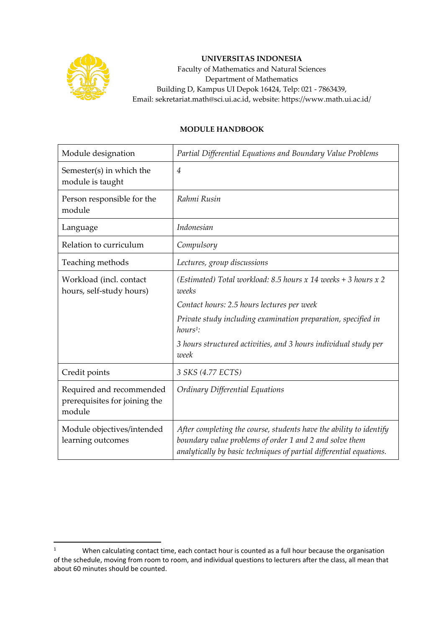

## **UNIVERSITAS INDONESIA**

Faculty of Mathematics and Natural Sciences Department of Mathematics Building D, Kampus UI Depok 16424, Telp: 021 - 7863439, Email: sekretariat.math@sci.ui.ac.id, website: https://www.math.ui.ac.id/

## **MODULE HANDBOOK**

| Module designation                                                  | Partial Differential Equations and Boundary Value Problems                                                                                                                                           |
|---------------------------------------------------------------------|------------------------------------------------------------------------------------------------------------------------------------------------------------------------------------------------------|
| Semester(s) in which the<br>module is taught                        | $\overline{4}$                                                                                                                                                                                       |
| Person responsible for the<br>module                                | Rahmi Rusin                                                                                                                                                                                          |
| Language                                                            | Indonesian                                                                                                                                                                                           |
| Relation to curriculum                                              | Compulsory                                                                                                                                                                                           |
| Teaching methods                                                    | Lectures, group discussions                                                                                                                                                                          |
| Workload (incl. contact<br>hours, self-study hours)                 | (Estimated) Total workload: 8.5 hours x 14 weeks + 3 hours x 2<br>weeks                                                                                                                              |
|                                                                     | Contact hours: 2.5 hours lectures per week                                                                                                                                                           |
|                                                                     | Private study including examination preparation, specified in<br>$hours1$ :                                                                                                                          |
|                                                                     | 3 hours structured activities, and 3 hours individual study per<br>week                                                                                                                              |
| Credit points                                                       | 3 SKS (4.77 ECTS)                                                                                                                                                                                    |
| Required and recommended<br>prerequisites for joining the<br>module | Ordinary Differential Equations                                                                                                                                                                      |
| Module objectives/intended<br>learning outcomes                     | After completing the course, students have the ability to identify<br>boundary value problems of order 1 and 2 and solve them<br>analytically by basic techniques of partial differential equations. |

<sup>&</sup>lt;sup>1</sup> When calculating contact time, each contact hour is counted as a full hour because the organisation of the schedule, moving from room to room, and individual questions to lecturers after the class, all mean that about 60 minutes should be counted.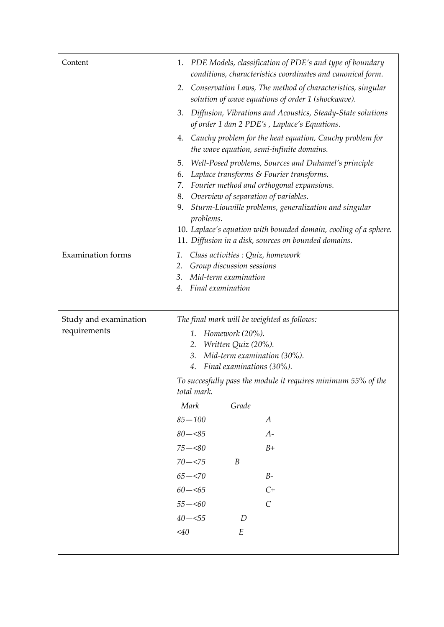| Content                  | 1. PDE Models, classification of PDE's and type of boundary<br>conditions, characteristics coordinates and canonical form.                                                                                                                                                                                                                                                                                            |
|--------------------------|-----------------------------------------------------------------------------------------------------------------------------------------------------------------------------------------------------------------------------------------------------------------------------------------------------------------------------------------------------------------------------------------------------------------------|
|                          | Conservation Laws, The method of characteristics, singular<br>2.<br>solution of wave equations of order 1 (shockwave).                                                                                                                                                                                                                                                                                                |
|                          | Diffusion, Vibrations and Acoustics, Steady-State solutions<br>3.<br>of order 1 dan 2 PDE's, Laplace's Equations.                                                                                                                                                                                                                                                                                                     |
|                          | Cauchy problem for the heat equation, Cauchy problem for<br>4.<br>the wave equation, semi-infinite domains.                                                                                                                                                                                                                                                                                                           |
|                          | Well-Posed problems, Sources and Duhamel's principle<br>5.<br>Laplace transforms & Fourier transforms.<br>6.<br>Fourier method and orthogonal expansions.<br>7.<br>Overview of separation of variables.<br>8.<br>Sturm-Liouville problems, generalization and singular<br>9.<br>problems.<br>10. Laplace's equation with bounded domain, cooling of a sphere.<br>11. Diffusion in a disk, sources on bounded domains. |
| <b>Examination</b> forms | Class activities : Quiz, homework<br>1.                                                                                                                                                                                                                                                                                                                                                                               |
|                          | Group discussion sessions<br>2.                                                                                                                                                                                                                                                                                                                                                                                       |
|                          | Mid-term examination<br>3.                                                                                                                                                                                                                                                                                                                                                                                            |
|                          | Final examination<br>4.                                                                                                                                                                                                                                                                                                                                                                                               |
| Study and examination    | The final mark will be weighted as follows:                                                                                                                                                                                                                                                                                                                                                                           |
|                          |                                                                                                                                                                                                                                                                                                                                                                                                                       |
| requirements             | Homework (20%).<br>1.                                                                                                                                                                                                                                                                                                                                                                                                 |
|                          | Written Quiz (20%).<br>2.                                                                                                                                                                                                                                                                                                                                                                                             |
|                          | Mid-term examination (30%).<br>3.                                                                                                                                                                                                                                                                                                                                                                                     |
|                          | Final examinations (30%).<br>4.<br>To succesfully pass the module it requires minimum 55% of the                                                                                                                                                                                                                                                                                                                      |
|                          | total mark.                                                                                                                                                                                                                                                                                                                                                                                                           |
|                          | Mark<br>Grade<br>A                                                                                                                                                                                                                                                                                                                                                                                                    |
|                          | $85 - 100$<br>$80 - 85$<br>$A-$                                                                                                                                                                                                                                                                                                                                                                                       |
|                          | $75 - 80$<br>$B+$                                                                                                                                                                                                                                                                                                                                                                                                     |
|                          | $70 - 575$<br>B                                                                                                                                                                                                                                                                                                                                                                                                       |
|                          | $65 - 570$<br>$B-$                                                                                                                                                                                                                                                                                                                                                                                                    |
|                          | $60 - 5$<br>$C+$                                                                                                                                                                                                                                                                                                                                                                                                      |
|                          | $55 - 60$<br>$\mathcal{C}_{0}$                                                                                                                                                                                                                                                                                                                                                                                        |
|                          | $40 - 55$<br>D                                                                                                                                                                                                                                                                                                                                                                                                        |
|                          | $<$ 40<br>E                                                                                                                                                                                                                                                                                                                                                                                                           |